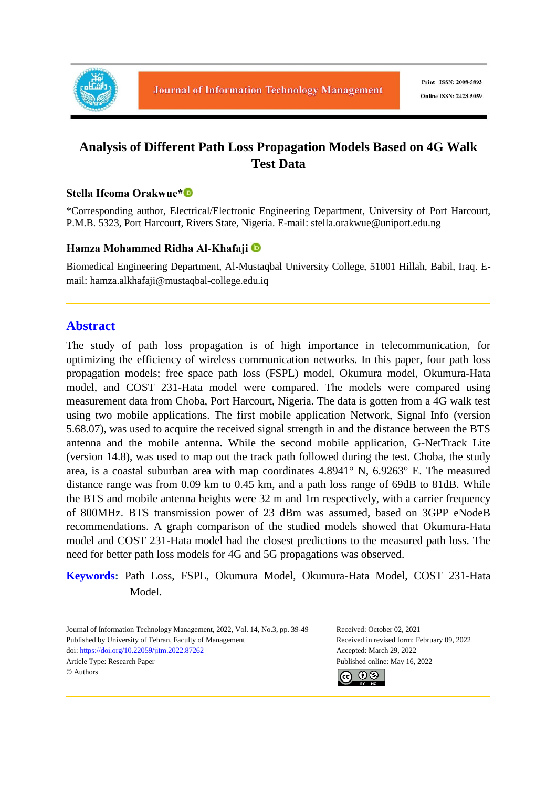

# **Analysis of Different Path Loss Propagation Models Based on 4G Walk Test Data**

#### **Stella Ifeoma Orakwue\***

\*Corresponding author, Electrical/Electronic Engineering Department, University of Port Harcourt, P.M.B. 5323, Port Harcourt, Rivers State, Nigeria. E-mail: stella.orakwue@uniport.edu.ng

#### **Hamza Mohammed Ridha Al-Khafaji**

Biomedical Engineering Department, Al-Mustaqbal University College, 51001 Hillah, Babil, Iraq. Email: hamza.alkhafaji@mustaqbal-college.edu.iq

## **Abstract**

The study of path loss propagation is of high importance in telecommunication, for optimizing the efficiency of wireless communication networks. In this paper, four path loss propagation models; free space path loss (FSPL) model, Okumura model, Okumura-Hata model, and COST 231-Hata model were compared. The models were compared using measurement data from Choba, Port Harcourt, Nigeria. The data is gotten from a 4G walk test using two mobile applications. The first mobile application Network, Signal Info (version 5.68.07), was used to acquire the received signal strength in and the distance between the BTS antenna and the mobile antenna. While the second mobile application, G-NetTrack Lite (version 14.8), was used to map out the track path followed during the test. Choba, the study area, is a coastal suburban area with map coordinates 4.8941° N, 6.9263° E. The measured distance range was from 0.09 km to 0.45 km, and a path loss range of 69dB to 81dB. While the BTS and mobile antenna heights were 32 m and 1m respectively, with a carrier frequency of 800MHz. BTS transmission power of 23 dBm was assumed, based on 3GPP eNodeB recommendations. A graph comparison of the studied models showed that Okumura-Hata model and COST 231-Hata model had the closest predictions to the measured path loss. The need for better path loss models for 4G and 5G propagations was observed.

**Keywords:** Path Loss, FSPL, Okumura Model, Okumura-Hata Model, COST 231-Hata Model.

Journal of Information Technology Management, 2022, Vol. 14, No.3, pp. 39-49 Received: October 02, 2021 Published by University of Tehran, Faculty of Management Received in revised form: February 09, 2022 doi: https://doi.org/10.22059/jitm.2022.87262 Accepted: March 29, 2022 Article Type: Research Paper Published online: May 16, 2022 © Authors

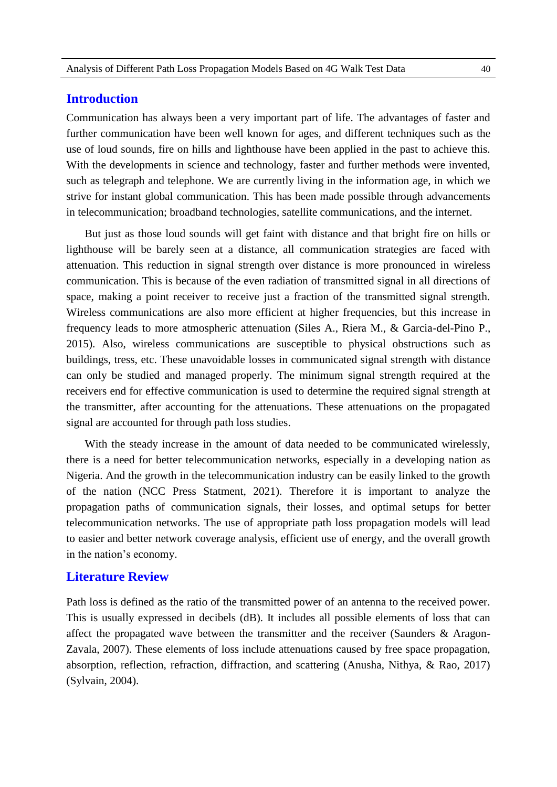## **Introduction**

Communication has always been a very important part of life. The advantages of faster and further communication have been well known for ages, and different techniques such as the use of loud sounds, fire on hills and lighthouse have been applied in the past to achieve this. With the developments in science and technology, faster and further methods were invented, such as telegraph and telephone. We are currently living in the information age, in which we strive for instant global communication. This has been made possible through advancements in telecommunication; broadband technologies, satellite communications, and the internet.

But just as those loud sounds will get faint with distance and that bright fire on hills or lighthouse will be barely seen at a distance, all communication strategies are faced with attenuation. This reduction in signal strength over distance is more pronounced in wireless communication. This is because of the even radiation of transmitted signal in all directions of space, making a point receiver to receive just a fraction of the transmitted signal strength. Wireless communications are also more efficient at higher frequencies, but this increase in frequency leads to more atmospheric attenuation (Siles A., Riera M., & Garcia-del-Pino P., 2015). Also, wireless communications are susceptible to physical obstructions such as buildings, tress, etc. These unavoidable losses in communicated signal strength with distance can only be studied and managed properly. The minimum signal strength required at the receivers end for effective communication is used to determine the required signal strength at the transmitter, after accounting for the attenuations. These attenuations on the propagated signal are accounted for through path loss studies.

With the steady increase in the amount of data needed to be communicated wirelessly, there is a need for better telecommunication networks, especially in a developing nation as Nigeria. And the growth in the telecommunication industry can be easily linked to the growth of the nation (NCC Press Statment, 2021). Therefore it is important to analyze the propagation paths of communication signals, their losses, and optimal setups for better telecommunication networks. The use of appropriate path loss propagation models will lead to easier and better network coverage analysis, efficient use of energy, and the overall growth in the nation's economy.

#### **Literature Review**

Path loss is defined as the ratio of the transmitted power of an antenna to the received power. This is usually expressed in decibels (dB). It includes all possible elements of loss that can affect the propagated wave between the transmitter and the receiver (Saunders & Aragon-Zavala, 2007). These elements of loss include attenuations caused by free space propagation, absorption, reflection, refraction, diffraction, and scattering (Anusha, Nithya, & Rao, 2017) (Sylvain, 2004).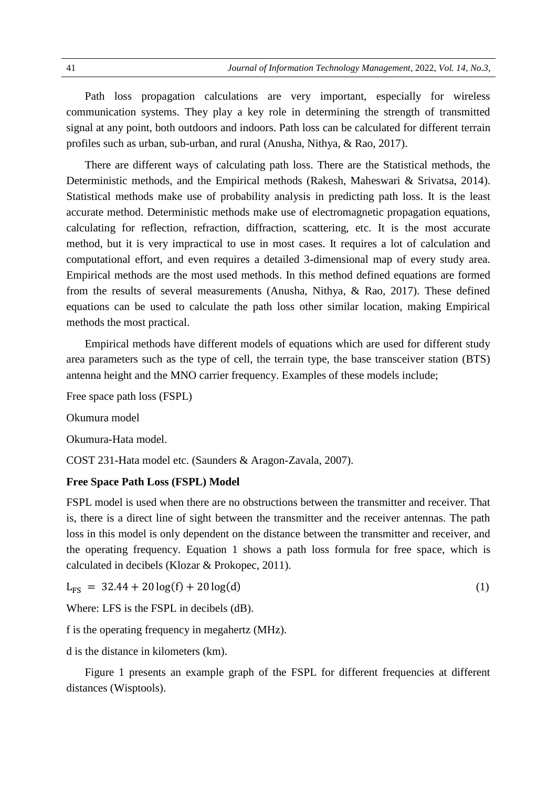Path loss propagation calculations are very important, especially for wireless communication systems. They play a key role in determining the strength of transmitted signal at any point, both outdoors and indoors. Path loss can be calculated for different terrain profiles such as urban, sub-urban, and rural (Anusha, Nithya, & Rao, 2017).

There are different ways of calculating path loss. There are the Statistical methods, the Deterministic methods, and the Empirical methods (Rakesh, Maheswari & Srivatsa, 2014). Statistical methods make use of probability analysis in predicting path loss. It is the least accurate method. Deterministic methods make use of electromagnetic propagation equations, calculating for reflection, refraction, diffraction, scattering, etc. It is the most accurate method, but it is very impractical to use in most cases. It requires a lot of calculation and computational effort, and even requires a detailed 3-dimensional map of every study area. Empirical methods are the most used methods. In this method defined equations are formed from the results of several measurements (Anusha, Nithya, & Rao, 2017). These defined equations can be used to calculate the path loss other similar location, making Empirical methods the most practical.

Empirical methods have different models of equations which are used for different study area parameters such as the type of cell, the terrain type, the base transceiver station (BTS) antenna height and the MNO carrier frequency. Examples of these models include;

Free space path loss (FSPL)

Okumura model

Okumura-Hata model.

COST 231-Hata model etc. (Saunders & Aragon-Zavala, 2007).

#### **Free Space Path Loss (FSPL) Model**

FSPL model is used when there are no obstructions between the transmitter and receiver. That is, there is a direct line of sight between the transmitter and the receiver antennas. The path loss in this model is only dependent on the distance between the transmitter and receiver, and the operating frequency. Equation 1 shows a path loss formula for free space, which is calculated in decibels (Klozar & Prokopec, 2011).

$$
L_{FS} = 32.44 + 20 \log(f) + 20 \log(d) \tag{1}
$$

Where: LFS is the FSPL in decibels (dB).

f is the operating frequency in megahertz (MHz).

d is the distance in kilometers (km).

Figure 1 presents an example graph of the FSPL for different frequencies at different distances (Wisptools).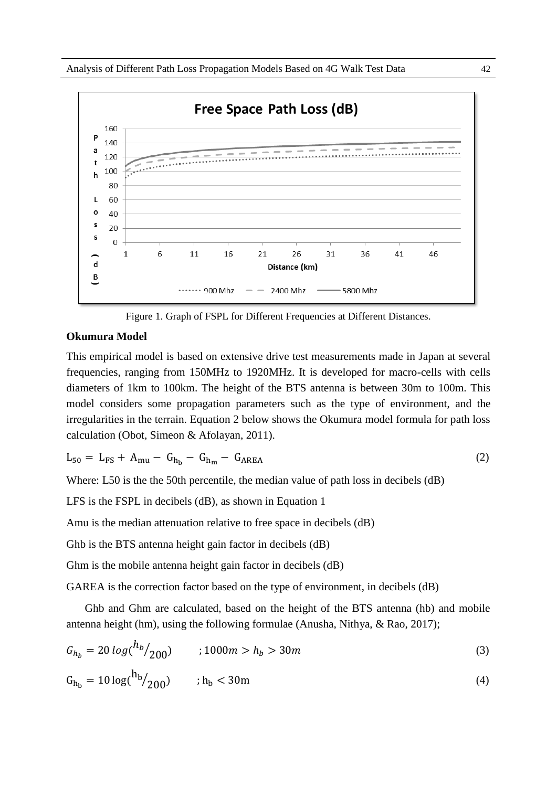

Figure 1. Graph of FSPL for Different Frequencies at Different Distances.

#### **Okumura Model**

This empirical model is based on extensive drive test measurements made in Japan at several frequencies, ranging from 150MHz to 1920MHz. It is developed for macro-cells with cells diameters of 1km to 100km. The height of the BTS antenna is between 30m to 100m. This model considers some propagation parameters such as the type of environment, and the irregularities in the terrain. Equation 2 below shows the Okumura model formula for path loss calculation (Obot, Simeon & Afolayan, 2011).

$$
L_{50} = L_{FS} + A_{mu} - G_{h_b} - G_{h_m} - G_{AREA}
$$
 (2)

Where: L50 is the the 50th percentile, the median value of path loss in decibels (dB)

LFS is the FSPL in decibels (dB), as shown in Equation 1

Amu is the median attenuation relative to free space in decibels (dB)

Ghb is the BTS antenna height gain factor in decibels (dB)

Ghm is the mobile antenna height gain factor in decibels (dB)

GAREA is the correction factor based on the type of environment, in decibels (dB)

Ghb and Ghm are calculated, based on the height of the BTS antenna (hb) and mobile antenna height (hm), using the following formulae (Anusha, Nithya, & Rao, 2017);

$$
G_{h_b} = 20 \log \left(\frac{h_b}{200}\right) \qquad ;1000m > h_b > 30m \tag{3}
$$

$$
G_{h_b} = 10 \log(\frac{h_b}{200}) \qquad ; h_b < 30 \,\text{m} \tag{4}
$$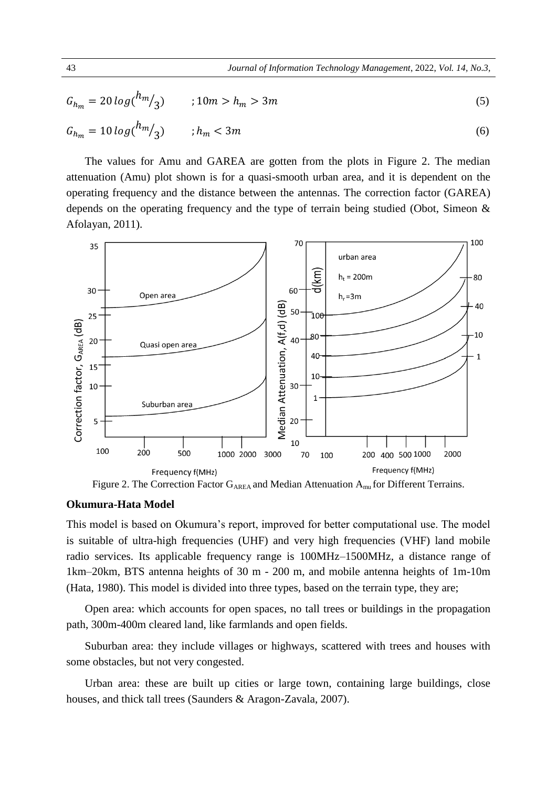$$
G_{h_m} = 20 \log(\frac{h_m}{3}) \qquad ; 10m > h_m > 3m
$$
  
\n
$$
G_{h_m} = 10 \log(\frac{h_m}{3}) \qquad ; h_m < 3m
$$
\n(5)

The values for Amu and GAREA are gotten from the plots in Figure 2. The median attenuation (Amu) plot shown is for a quasi-smooth urban area, and it is dependent on the operating frequency and the distance between the antennas. The correction factor (GAREA) depends on the operating frequency and the type of terrain being studied (Obot, Simeon & Afolayan, 2011).



Figure 2. The Correction Factor  $G_{AREA}$  and Median Attenuation  $A_{mu}$  for Different Terrains.

#### **Okumura-Hata Model**

This model is based on Okumura's report, improved for better computational use. The model is suitable of ultra-high frequencies (UHF) and very high frequencies (VHF) land mobile radio services. Its applicable frequency range is 100MHz–1500MHz, a distance range of 1km–20km, BTS antenna heights of 30 m - 200 m, and mobile antenna heights of 1m-10m (Hata, 1980). This model is divided into three types, based on the terrain type, they are;

Open area: which accounts for open spaces, no tall trees or buildings in the propagation path, 300m-400m cleared land, like farmlands and open fields.

Suburban area: they include villages or highways, scattered with trees and houses with some obstacles, but not very congested.

Urban area: these are built up cities or large town, containing large buildings, close houses, and thick tall trees (Saunders & Aragon-Zavala, 2007).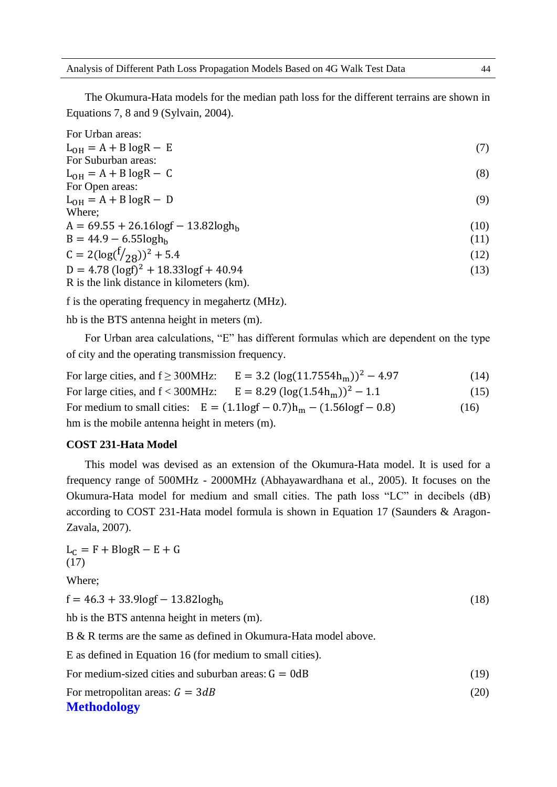The Okumura-Hata models for the median path loss for the different terrains are shown in Equations 7, 8 and 9 (Sylvain, 2004).

| For Urban areas:                                      |      |
|-------------------------------------------------------|------|
| $L_{OH} = A + B \log R - E$                           | (7)  |
| For Suburban areas:                                   |      |
| $L_{OH} = A + B \log R - C$                           | (8)  |
| For Open areas:                                       |      |
| $L_{OH} = A + B \log R - D$                           | (9)  |
| Where;                                                |      |
| $A = 69.55 + 26.16 \text{log}f - 13.82 \text{log}h_h$ | (10) |
| $B = 44.9 - 6.55 \log h_h$                            | (11) |
| $C = 2(\log(\frac{f}{28}))^2 + 5.4$                   | (12) |
| $D = 4.78$ (logf) <sup>2</sup> + 18.33logf + 40.94    | (13) |
| R is the link distance in kilometers (km).            |      |

f is the operating frequency in megahertz (MHz).

hb is the BTS antenna height in meters (m).

For Urban area calculations, "E" has different formulas which are dependent on the type of city and the operating transmission frequency.

For large cities, and  $f \geq 300$ MHz:  $E = 3.2 \left( \log(11.7554h_m) \right)^2 - 4.97$  (14) For large cities, and  $f < 300$ MHz:  $E = 8.29 \left( \log(1.54 h_m) \right)^2 - 1.1$  (15) For medium to small cities:  $E = (1.1 \log f - 0.7) h_m - (1.56 \log f - 0.8)$  (16) hm is the mobile antenna height in meters (m).

#### **COST 231-Hata Model**

This model was devised as an extension of the Okumura-Hata model. It is used for a frequency range of 500MHz - 2000MHz (Abhayawardhana et al., 2005). It focuses on the Okumura-Hata model for medium and small cities. The path loss "LC" in decibels (dB) according to COST 231-Hata model formula is shown in Equation 17 (Saunders & Aragon-Zavala, 2007).

 $L_C = F + BlogR - E + G$ (17)

Where;

 $f = 46.3 + 33.9 \log f - 13.82 \log h_b$  (18)

hb is the BTS antenna height in meters (m).

B & R terms are the same as defined in Okumura-Hata model above.

E as defined in Equation 16 (for medium to small cities).

For medium-sized cities and suburban areas:  $G = 0dB$  (19)

For metropolitan areas:  $G = 3dB$  (20)

#### **Methodology**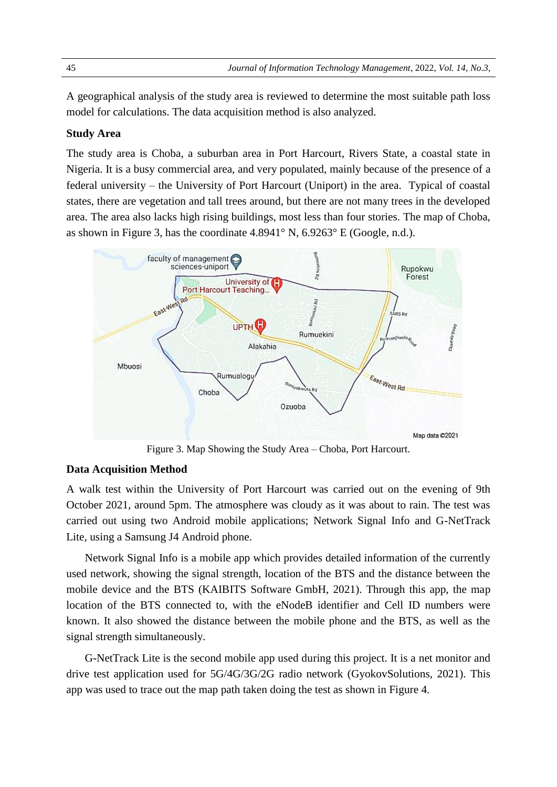A geographical analysis of the study area is reviewed to determine the most suitable path loss model for calculations. The data acquisition method is also analyzed.

#### **Study Area**

The study area is Choba, a suburban area in Port Harcourt, Rivers State, a coastal state in Nigeria. It is a busy commercial area, and very populated, mainly because of the presence of a federal university – the University of Port Harcourt (Uniport) in the area. Typical of coastal states, there are vegetation and tall trees around, but there are not many trees in the developed area. The area also lacks high rising buildings, most less than four stories. The map of Choba, as shown in Figure 3, has the coordinate 4.8941° N, 6.9263° E (Google, n.d.).



Figure 3. Map Showing the Study Area – Choba, Port Harcourt.

#### **Data Acquisition Method**

A walk test within the University of Port Harcourt was carried out on the evening of 9th October 2021, around 5pm. The atmosphere was cloudy as it was about to rain. The test was carried out using two Android mobile applications; Network Signal Info and G-NetTrack Lite, using a Samsung J4 Android phone.

Network Signal Info is a mobile app which provides detailed information of the currently used network, showing the signal strength, location of the BTS and the distance between the mobile device and the BTS (KAIBITS Software GmbH, 2021). Through this app, the map location of the BTS connected to, with the eNodeB identifier and Cell ID numbers were known. It also showed the distance between the mobile phone and the BTS, as well as the signal strength simultaneously.

G-NetTrack Lite is the second mobile app used during this project. It is a net monitor and drive test application used for 5G/4G/3G/2G radio network (GyokovSolutions, 2021). This app was used to trace out the map path taken doing the test as shown in Figure 4.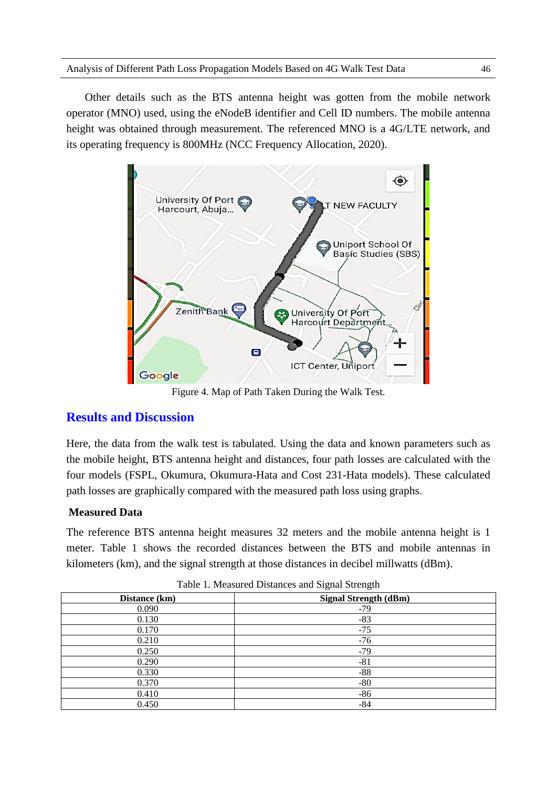Other details such as the BTS antenna height was gotten from the mobile network operator (MNO) used, using the eNodeB identifier and Cell ID numbers. The mobile antenna height was obtained through measurement. The referenced MNO is a 4G/LTE network, and its operating frequency is 800MHz (NCC Frequency Allocation, 2020).



Figure 4. Map of Path Taken During the Walk Test.

## **Results and Discussion**

Here, the data from the walk test is tabulated. Using the data and known parameters such as the mobile height, BTS antenna height and distances, four path losses are calculated with the four models (FSPL, Okumura, Okumura-Hata and Cost 231-Hata models). These calculated path losses are graphically compared with the measured path loss using graphs.

## **Measured Data**

The reference BTS antenna height measures 32 meters and the mobile antenna height is 1 meter. Table 1 shows the recorded distances between the BTS and mobile antennas in kilometers (km), and the signal strength at those distances in decibel millwatts (dBm).

| Distance (km) | <b>Signal Strength (dBm)</b> |  |  |  |
|---------------|------------------------------|--|--|--|
| 0.090         | $-79$                        |  |  |  |
| 0.130         | $-83$                        |  |  |  |
| 0.170         | $-75$                        |  |  |  |
| 0.210         | $-76$                        |  |  |  |
| 0.250         | $-79$                        |  |  |  |
| 0.290         | $-81$                        |  |  |  |
| 0.330         | $-88$                        |  |  |  |
| 0.370         | $-80$                        |  |  |  |
| 0.410         | $-86$                        |  |  |  |
| 0.450         | $-84$                        |  |  |  |

Table 1. Measured Distances and Signal Strength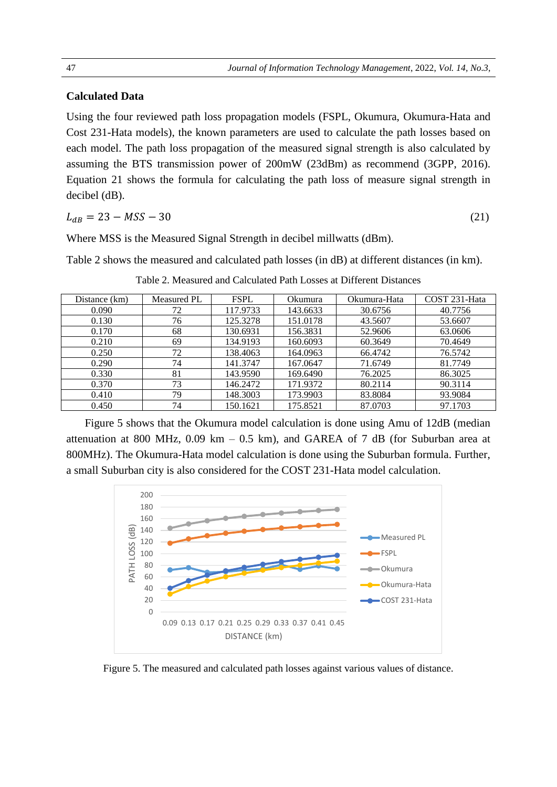#### **Calculated Data**

Using the four reviewed path loss propagation models (FSPL, Okumura, Okumura-Hata and Cost 231-Hata models), the known parameters are used to calculate the path losses based on each model. The path loss propagation of the measured signal strength is also calculated by assuming the BTS transmission power of 200mW (23dBm) as recommend (3GPP, 2016). Equation 21 shows the formula for calculating the path loss of measure signal strength in decibel (dB).

$$
L_{dB} = 23 - MSS - 30\tag{21}
$$

Where MSS is the Measured Signal Strength in decibel millwatts (dBm).

Table 2 shows the measured and calculated path losses (in dB) at different distances (in km).

| Distance (km) | Measured PL | <b>FSPL</b> | Okumura  | Okumura-Hata | COST 231-Hata |
|---------------|-------------|-------------|----------|--------------|---------------|
| 0.090         | 72          | 117.9733    | 143.6633 | 30.6756      | 40.7756       |
| 0.130         | 76          | 125.3278    | 151.0178 | 43.5607      | 53.6607       |
| 0.170         | 68          | 130.6931    | 156.3831 | 52.9606      | 63.0606       |
| 0.210         | 69          | 134.9193    | 160.6093 | 60.3649      | 70.4649       |
| 0.250         | 72          | 138.4063    | 164.0963 | 66.4742      | 76.5742       |
| 0.290         | 74          | 141.3747    | 167.0647 | 71.6749      | 81.7749       |
| 0.330         | 81          | 143.9590    | 169.6490 | 76.2025      | 86.3025       |
| 0.370         | 73          | 146.2472    | 171.9372 | 80.2114      | 90.3114       |
| 0.410         | 79          | 148.3003    | 173.9903 | 83.8084      | 93.9084       |
| 0.450         | 74          | 150.1621    | 175.8521 | 87.0703      | 97.1703       |

Table 2. Measured and Calculated Path Losses at Different Distances

Figure 5 shows that the Okumura model calculation is done using Amu of 12dB (median attenuation at 800 MHz,  $0.09$  km  $-0.5$  km), and GAREA of 7 dB (for Suburban area at 800MHz). The Okumura-Hata model calculation is done using the Suburban formula. Further, a small Suburban city is also considered for the COST 231-Hata model calculation.



Figure 5. The measured and calculated path losses against various values of distance.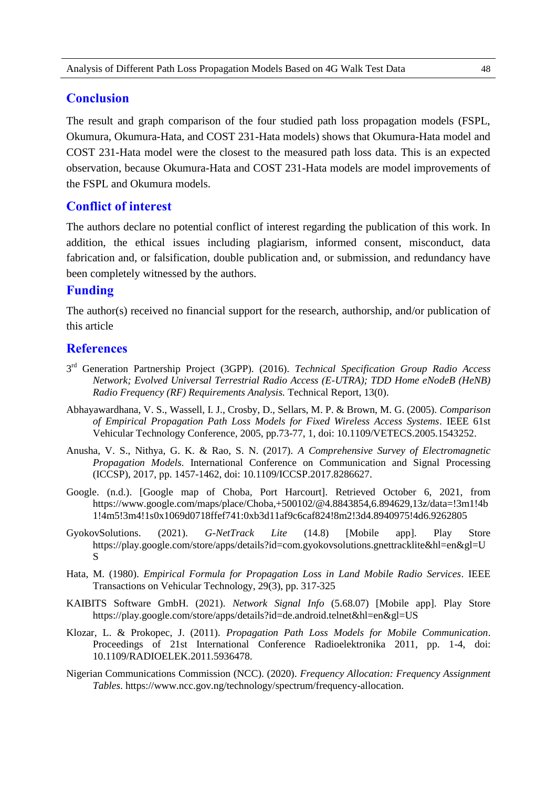### **Conclusion**

The result and graph comparison of the four studied path loss propagation models (FSPL, Okumura, Okumura-Hata, and COST 231-Hata models) shows that Okumura-Hata model and COST 231-Hata model were the closest to the measured path loss data. This is an expected observation, because Okumura-Hata and COST 231-Hata models are model improvements of the FSPL and Okumura models.

#### **Conflict of interest**

The authors declare no potential conflict of interest regarding the publication of this work. In addition, the ethical issues including plagiarism, informed consent, misconduct, data fabrication and, or falsification, double publication and, or submission, and redundancy have been completely witnessed by the authors.

#### **Funding**

The author(s) received no financial support for the research, authorship, and/or publication of this article

#### **References**

- 3 rd Generation Partnership Project (3GPP). (2016). *Technical Specification Group Radio Access Network; Evolved Universal Terrestrial Radio Access (E-UTRA); TDD Home eNodeB (HeNB) Radio Frequency (RF) Requirements Analysis.* Technical Report, 13(0).
- Abhayawardhana, V. S., Wassell, I. J., Crosby, D., Sellars, M. P. & Brown, M. G. (2005). *Comparison of Empirical Propagation Path Loss Models for Fixed Wireless Access Systems*. IEEE 61st Vehicular Technology Conference, 2005, pp.73-77, 1, doi: 10.1109/VETECS.2005.1543252.
- Anusha, V. S., Nithya, G. K. & Rao, S. N. (2017). *A Comprehensive Survey of Electromagnetic Propagation Models*. International Conference on Communication and Signal Processing (ICCSP), 2017, pp. 1457-1462, doi: 10.1109/ICCSP.2017.8286627.
- Google. (n.d.). [Google map of Choba, Port Harcourt]. Retrieved October 6, 2021, from https://www.google.com/maps/place/Choba,+500102/@4.8843854,6.894629,13z/data=!3m1!4b 1!4m5!3m4!1s0x1069d0718ffef741:0xb3d11af9c6caf824!8m2!3d4.8940975!4d6.9262805
- GyokovSolutions. (2021). *G-NetTrack Lite* (14.8) [Mobile app]. Play Store https://play.google.com/store/apps/details?id=com.gyokovsolutions.gnettracklite&hl=en&gl=U S
- Hata, M. (1980). *Empirical Formula for Propagation Loss in Land Mobile Radio Services*. IEEE Transactions on Vehicular Technology, 29(3), pp. 317-325
- KAIBITS Software GmbH. (2021). *Network Signal Info* (5.68.07) [Mobile app]. Play Store https://play.google.com/store/apps/details?id=de.android.telnet&hl=en&gl=US
- Klozar, L. & Prokopec, J. (2011). *Propagation Path Loss Models for Mobile Communication*. Proceedings of 21st International Conference Radioelektronika 2011, pp. 1-4, doi: 10.1109/RADIOELEK.2011.5936478.
- Nigerian Communications Commission (NCC). (2020). *Frequency Allocation: Frequency Assignment Tables*. https://www.ncc.gov.ng/technology/spectrum/frequency-allocation.